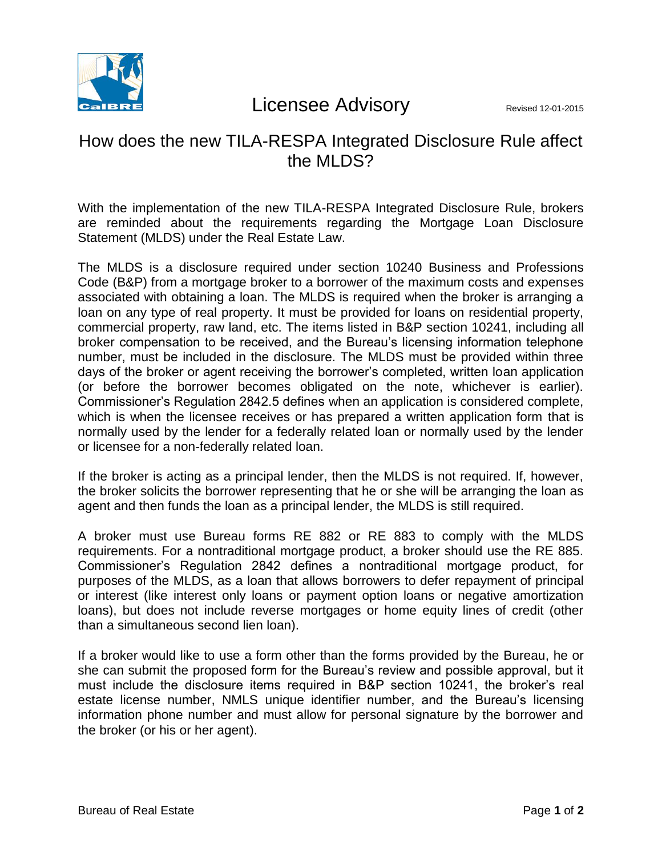

## Licensee Advisory Revised 12-01-2015

## How does the new TILA-RESPA Integrated Disclosure Rule affect the MLDS?

With the implementation of the new TILA-RESPA Integrated Disclosure Rule, brokers are reminded about the requirements regarding the Mortgage Loan Disclosure Statement (MLDS) under the Real Estate Law.

The MLDS is a disclosure required under section 10240 Business and Professions Code (B&P) from a mortgage broker to a borrower of the maximum costs and expenses associated with obtaining a loan. The MLDS is required when the broker is arranging a loan on any type of real property. It must be provided for loans on residential property, commercial property, raw land, etc. The items listed in B&P section 10241, including all broker compensation to be received, and the Bureau's licensing information telephone number, must be included in the disclosure. The MLDS must be provided within three days of the broker or agent receiving the borrower's completed, written loan application (or before the borrower becomes obligated on the note, whichever is earlier). Commissioner's Regulation 2842.5 defines when an application is considered complete, which is when the licensee receives or has prepared a written application form that is normally used by the lender for a federally related loan or normally used by the lender or licensee for a non-federally related loan.

If the broker is acting as a principal lender, then the MLDS is not required. If, however, the broker solicits the borrower representing that he or she will be arranging the loan as agent and then funds the loan as a principal lender, the MLDS is still required.

A broker must use Bureau forms RE 882 or RE 883 to comply with the MLDS requirements. For a nontraditional mortgage product, a broker should use the RE 885. Commissioner's Regulation 2842 defines a nontraditional mortgage product, for purposes of the MLDS, as a loan that allows borrowers to defer repayment of principal or interest (like interest only loans or payment option loans or negative amortization loans), but does not include reverse mortgages or home equity lines of credit (other than a simultaneous second lien loan).

If a broker would like to use a form other than the forms provided by the Bureau, he or she can submit the proposed form for the Bureau's review and possible approval, but it must include the disclosure items required in B&P section 10241, the broker's real estate license number, NMLS unique identifier number, and the Bureau's licensing information phone number and must allow for personal signature by the borrower and the broker (or his or her agent).